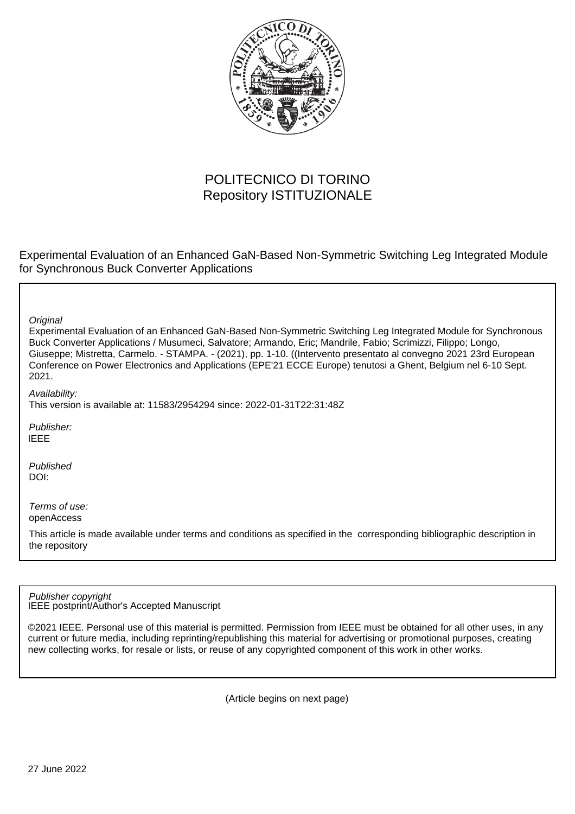

# POLITECNICO DI TORINO Repository ISTITUZIONALE

Experimental Evaluation of an Enhanced GaN-Based Non-Symmetric Switching Leg Integrated Module for Synchronous Buck Converter Applications

| Original<br>Experimental Evaluation of an Enhanced GaN-Based Non-Symmetric Switching Leg Integrated Module for Synchronous<br>Buck Converter Applications / Musumeci, Salvatore; Armando, Eric; Mandrile, Fabio; Scrimizzi, Filippo; Longo,<br>Giuseppe; Mistretta, Carmelo. - STAMPA. - (2021), pp. 1-10. ((Intervento presentato al convegno 2021 23rd European<br>Conference on Power Electronics and Applications (EPE'21 ECCE Europe) tenutosi a Ghent, Belgium nel 6-10 Sept.<br>2021. |
|----------------------------------------------------------------------------------------------------------------------------------------------------------------------------------------------------------------------------------------------------------------------------------------------------------------------------------------------------------------------------------------------------------------------------------------------------------------------------------------------|
| Availability:<br>This version is available at: 11583/2954294 since: 2022-01-31T22:31:48Z                                                                                                                                                                                                                                                                                                                                                                                                     |
| Publisher:<br><b>IEEE</b>                                                                                                                                                                                                                                                                                                                                                                                                                                                                    |
| Published<br>DOI:                                                                                                                                                                                                                                                                                                                                                                                                                                                                            |
| Terms of use:<br>openAccess<br>This article is made available under terms and conditions as specified in the corresponding bibliographic description in<br>the repository                                                                                                                                                                                                                                                                                                                    |

IEEE postprint/Author's Accepted Manuscript Publisher copyright

©2021 IEEE. Personal use of this material is permitted. Permission from IEEE must be obtained for all other uses, in any current or future media, including reprinting/republishing this material for advertising or promotional purposes, creating new collecting works, for resale or lists, or reuse of any copyrighted component of this work in other works.

(Article begins on next page)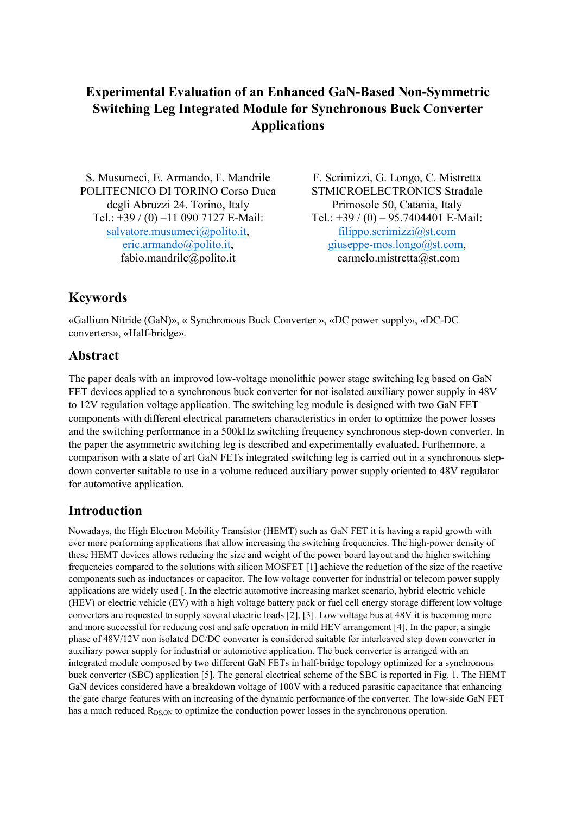# **Experimental Evaluation of an Enhanced GaN-Based Non-Symmetric Switching Leg Integrated Module for Synchronous Buck Converter Applications**

S. Musumeci, E. Armando, F. Mandrile F. Scrimizzi, G. Longo, C. Mistretta POLITECNICO DI TORINO Corso Duca degli Abruzzi 24. Torino, Italy Tel.: +39 / (0) –11 090 7127 E-Mail: salvatore.musumeci@polito.it, eric.armando@polito.it, fabio.mandrile@polito.it

STMICROELECTRONICS Stradale Primosole 50, Catania, Italy Tel.: +39 / (0) – 95.7404401 E-Mail: filippo.scrimizzi@st.com giuseppe-mos.longo@st.com, carmelo.mistretta@st.com

# **Keywords**

«Gallium Nitride (GaN)», « Synchronous Buck Converter », «DC power supply», «DC-DC converters», «Half-bridge».

## **Abstract**

The paper deals with an improved low-voltage monolithic power stage switching leg based on GaN FET devices applied to a synchronous buck converter for not isolated auxiliary power supply in 48V to 12V regulation voltage application. The switching leg module is designed with two GaN FET components with different electrical parameters characteristics in order to optimize the power losses and the switching performance in a 500kHz switching frequency synchronous step-down converter. In the paper the asymmetric switching leg is described and experimentally evaluated. Furthermore, a comparison with a state of art GaN FETs integrated switching leg is carried out in a synchronous stepdown converter suitable to use in a volume reduced auxiliary power supply oriented to 48V regulator for automotive application.

## **Introduction**

Nowadays, the High Electron Mobility Transistor (HEMT) such as GaN FET it is having a rapid growth with ever more performing applications that allow increasing the switching frequencies. The high-power density of these HEMT devices allows reducing the size and weight of the power board layout and the higher switching frequencies compared to the solutions with silicon MOSFET [1] achieve the reduction of the size of the reactive components such as inductances or capacitor. The low voltage converter for industrial or telecom power supply applications are widely used [. In the electric automotive increasing market scenario, hybrid electric vehicle (HEV) or electric vehicle (EV) with a high voltage battery pack or fuel cell energy storage different low voltage converters are requested to supply several electric loads [2], [3]. Low voltage bus at 48V it is becoming more and more successful for reducing cost and safe operation in mild HEV arrangement [4]. In the paper, a single phase of 48V/12V non isolated DC/DC converter is considered suitable for interleaved step down converter in auxiliary power supply for industrial or automotive application. The buck converter is arranged with an integrated module composed by two different GaN FETs in half-bridge topology optimized for a synchronous buck converter (SBC) application [5]. The general electrical scheme of the SBC is reported in Fig. 1. The HEMT GaN devices considered have a breakdown voltage of 100V with a reduced parasitic capacitance that enhancing the gate charge features with an increasing of the dynamic performance of the converter. The low-side GaN FET has a much reduced  $R_{DS,ON}$  to optimize the conduction power losses in the synchronous operation.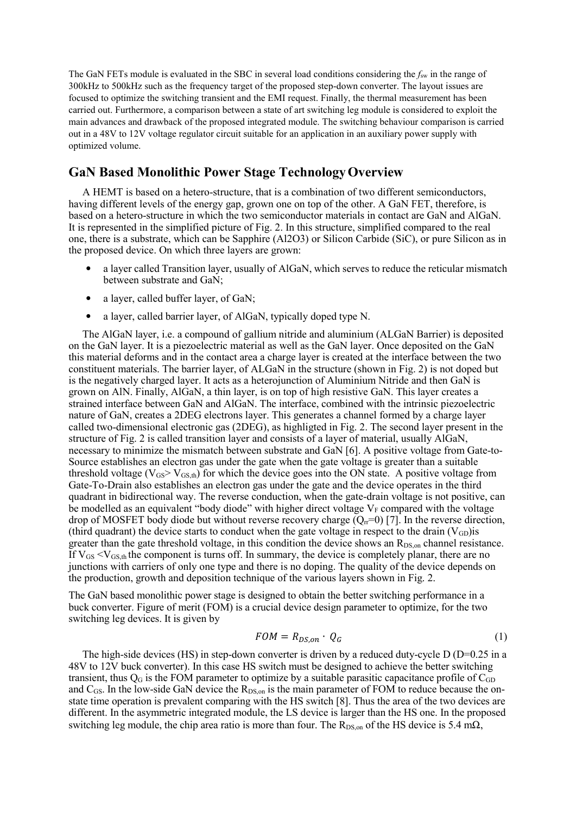The GaN FETs module is evaluated in the SBC in several load conditions considering the *f*sw in the range of 300kHz to 500kHz such as the frequency target of the proposed step-down converter. The layout issues are focused to optimize the switching transient and the EMI request. Finally, the thermal measurement has been carried out. Furthermore, a comparison between a state of art switching leg module is considered to exploit the main advances and drawback of the proposed integrated module. The switching behaviour comparison is carried out in a 48V to 12V voltage regulator circuit suitable for an application in an auxiliary power supply with optimized volume.

### **GaN Based Monolithic Power Stage TechnologyOverview**

A HEMT is based on a hetero-structure, that is a combination of two different semiconductors, having different levels of the energy gap, grown one on top of the other. A GaN FET, therefore, is based on a hetero-structure in which the two semiconductor materials in contact are GaN and AlGaN. It is represented in the simplified picture of Fig. 2. In this structure, simplified compared to the real one, there is a substrate, which can be Sapphire (Al2O3) or Silicon Carbide (SiC), or pure Silicon as in the proposed device. On which three layers are grown:

- a layer called Transition layer, usually of AlGaN, which serves to reduce the reticular mismatch between substrate and GaN;
- a layer, called buffer layer, of GaN;
- a layer, called barrier layer, of AlGaN, typically doped type N.

The AlGaN layer, i.e. a compound of gallium nitride and aluminium (ALGaN Barrier) is deposited on the GaN layer. It is a piezoelectric material as well as the GaN layer. Once deposited on the GaN this material deforms and in the contact area a charge layer is created at the interface between the two constituent materials. The barrier layer, of ALGaN in the structure (shown in Fig. 2) is not doped but is the negatively charged layer. It acts as a heterojunction of Aluminium Nitride and then GaN is grown on AlN. Finally, AlGaN, a thin layer, is on top of high resistive GaN. This layer creates a strained interface between GaN and AlGaN. The interface, combined with the intrinsic piezoelectric nature of GaN, creates a 2DEG electrons layer. This generates a channel formed by a charge layer called two-dimensional electronic gas (2DEG), as highligted in Fig. 2. The second layer present in the structure of Fig. 2 is called transition layer and consists of a layer of material, usually AlGaN, necessary to minimize the mismatch between substrate and GaN [6]. A positive voltage from Gate-to-Source establishes an electron gas under the gate when the gate voltage is greater than a suitable threshold voltage ( $V_{GS} > V_{GS,th}$ ) for which the device goes into the ON state. A positive voltage from Gate-To-Drain also establishes an electron gas under the gate and the device operates in the third quadrant in bidirectional way. The reverse conduction, when the gate-drain voltage is not positive, can be modelled as an equivalent "body diode" with higher direct voltage  $V_F$  compared with the voltage drop of MOSFET body diode but without reverse recovery charge  $(Q<sub>tr</sub>=0)$  [7]. In the reverse direction, (third quadrant) the device starts to conduct when the gate voltage in respect to the drain  $(V<sub>GD</sub>)$  is greater than the gate threshold voltage, in this condition the device shows an  $R_{DS,on}$  channel resistance. If  $V_{GS} < V_{GS,th}$  the component is turns off. In summary, the device is completely planar, there are no junctions with carriers of only one type and there is no doping. The quality of the device depends on the production, growth and deposition technique of the various layers shown in Fig. 2.

The GaN based monolithic power stage is designed to obtain the better switching performance in a buck converter. Figure of merit (FOM) is a crucial device design parameter to optimize, for the two switching leg devices. It is given by

$$
FOM = R_{DS,on} \cdot Q_G \tag{1}
$$

The high-side devices (HS) in step-down converter is driven by a reduced duty-cycle  $D (D=0.25$  in a 48V to 12V buck converter). In this case HS switch must be designed to achieve the better switching transient, thus  $Q<sub>G</sub>$  is the FOM parameter to optimize by a suitable parasitic capacitance profile of  $C<sub>GD</sub>$ and C<sub>GS</sub>. In the low-side GaN device the R<sub>DS,on</sub> is the main parameter of FOM to reduce because the onstate time operation is prevalent comparing with the HS switch [8]. Thus the area of the two devices are different. In the asymmetric integrated module, the LS device is larger than the HS one. In the proposed switching leg module, the chip area ratio is more than four. The R<sub>DS,on</sub> of the HS device is 5.4 m $\Omega$ ,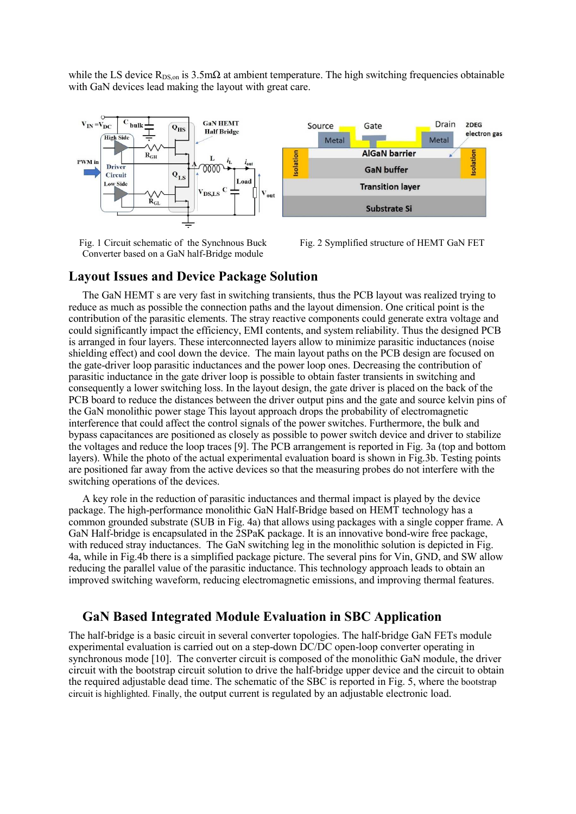while the LS device  $R_{DS,on}$  is 3.5m $\Omega$  at ambient temperature. The high switching frequencies obtainable with GaN devices lead making the layout with great care.



Fig. 1 Circuit schematic of the Synchnous Buck Converter based on a GaN half-Bridge module



### **Layout Issues and Device Package Solution**

The GaN HEMT s are very fast in switching transients, thus the PCB layout was realized trying to reduce as much as possible the connection paths and the layout dimension. One critical point is the contribution of the parasitic elements. The stray reactive components could generate extra voltage and could significantly impact the efficiency, EMI contents, and system reliability. Thus the designed PCB is arranged in four layers. These interconnected layers allow to minimize parasitic inductances (noise shielding effect) and cool down the device. The main layout paths on the PCB design are focused on the gate-driver loop parasitic inductances and the power loop ones. Decreasing the contribution of parasitic inductance in the gate driver loop is possible to obtain faster transients in switching and consequently a lower switching loss. In the layout design, the gate driver is placed on the back of the PCB board to reduce the distances between the driver output pins and the gate and source kelvin pins of the GaN monolithic power stage This layout approach drops the probability of electromagnetic interference that could affect the control signals of the power switches. Furthermore, the bulk and bypass capacitances are positioned as closely as possible to power switch device and driver to stabilize the voltages and reduce the loop traces [9]. The PCB arrangement is reported in Fig. 3a (top and bottom layers). While the photo of the actual experimental evaluation board is shown in Fig.3b. Testing points are positioned far away from the active devices so that the measuring probes do not interfere with the switching operations of the devices.

A key role in the reduction of parasitic inductances and thermal impact is played by the device package. The high-performance monolithic GaN Half-Bridge based on HEMT technology has a common grounded substrate (SUB in Fig. 4a) that allows using packages with a single copper frame. A GaN Half-bridge is encapsulated in the 2SPaK package. It is an innovative bond-wire free package, with reduced stray inductances. The GaN switching leg in the monolithic solution is depicted in Fig. 4a, while in Fig.4b there is a simplified package picture. The several pins for Vin, GND, and SW allow reducing the parallel value of the parasitic inductance. This technology approach leads to obtain an improved switching waveform, reducing electromagnetic emissions, and improving thermal features.

### **GaN Based Integrated Module Evaluation in SBC Application**

The half-bridge is a basic circuit in several converter topologies. The half-bridge GaN FETs module experimental evaluation is carried out on a step-down DC/DC open-loop converter operating in synchronous mode [10]. The converter circuit is composed of the monolithic GaN module, the driver circuit with the bootstrap circuit solution to drive the half-bridge upper device and the circuit to obtain the required adjustable dead time. The schematic of the SBC is reported in Fig. 5, where the bootstrap circuit is highlighted. Finally, the output current is regulated by an adjustable electronic load.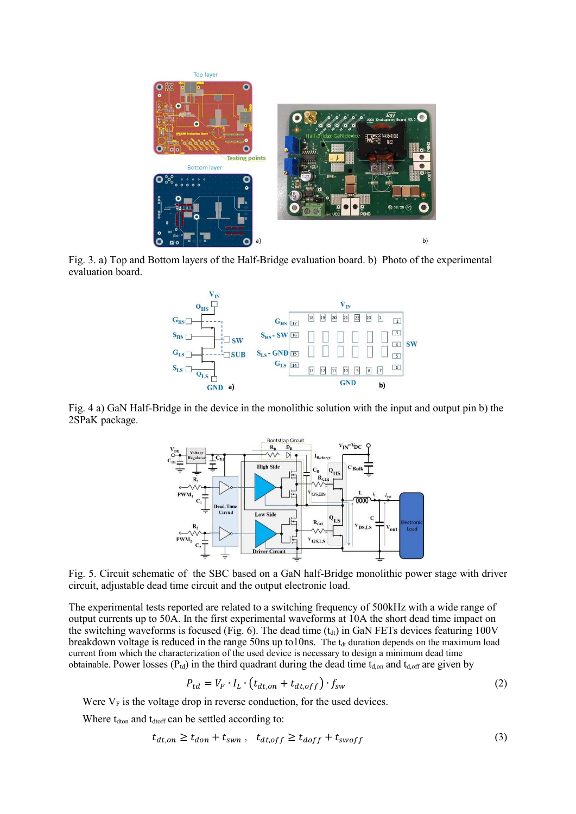

Fig. 3. a) Top and Bottom layers of the Half-Bridge evaluation board. b) Photo of the experimental evaluation board.



Fig. 4 a) GaN Half-Bridge in the device in the monolithic solution with the input and output pin b) the 2SPaK package.



Fig. 5. Circuit schematic of the SBC based on a GaN half-Bridge monolithic power stage with driver circuit, adjustable dead time circuit and the output electronic load.

The experimental tests reported are related to a switching frequency of 500kHz with a wide range of output currents up to 50A. In the first experimental waveforms at 10A the short dead time impact on the switching waveforms is focused (Fig. 6). The dead time  $(t_{dt})$  in GaN FETs devices featuring 100V breakdown voltage is reduced in the range 50ns up to10ns. The  $t_{dt}$  duration depends on the maximum load current from which the characterization of the used device is necessary to design a minimum dead time obtainable. Power losses  $(P_{td})$  in the third quadrant during the dead time  $t_{d,on}$  and  $t_{d,off}$  are given by

$$
P_{td} = V_F \cdot I_L \cdot \left(t_{dt,on} + t_{dt,off}\right) \cdot f_{sw} \tag{2}
$$

Were  $V_F$  is the voltage drop in reverse conduction, for the used devices.

Where t<sub>dton</sub> and t<sub>dtoff</sub> can be settled according to:

$$
t_{dt,on} \ge t_{don} + t_{swn}, \quad t_{dt,off} \ge t_{doff} + t_{swoff}
$$
 (3)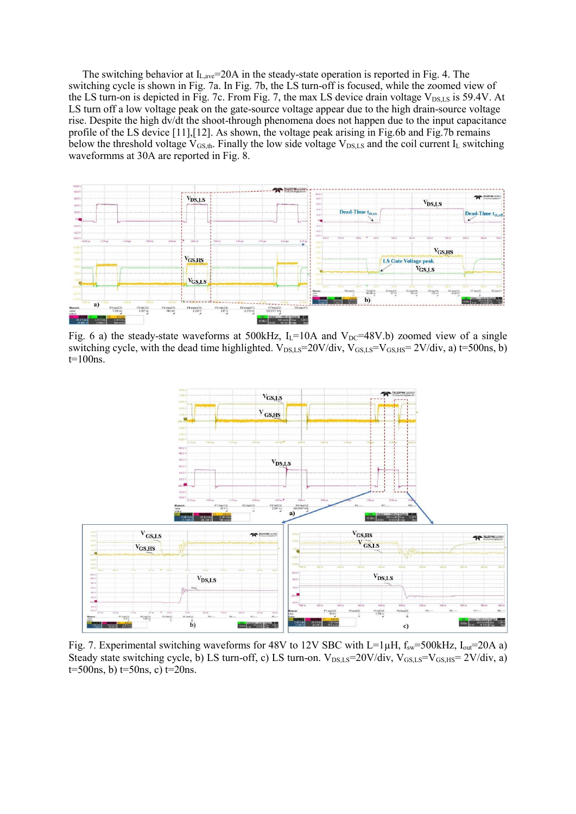The switching behavior at  $I_{L,ave}$ =20A in the steady-state operation is reported in Fig. 4. The switching cycle is shown in Fig. 7a. In Fig. 7b, the LS turn-off is focused, while the zoomed view of the LS turn-on is depicted in Fig. 7c. From Fig. 7, the max LS device drain voltage  $V_{DS,LS}$  is 59.4V. At LS turn off a low voltage peak on the gate-source voltage appear due to the high drain-source voltage rise. Despite the high dv/dt the shoot-through phenomena does not happen due to the input capacitance profile of the LS device [11],[12]. As shown, the voltage peak arising in Fig.6b and Fig.7b remains below the threshold voltage  $V_{GS,th}$ . Finally the low side voltage  $V_{DS,LS}$  and the coil current  $I_L$  switching waveformms at 30A are reported in Fig. 8.



Fig. 6 a) the steady-state waveforms at 500kHz,  $I_L$ =10A and  $V_{DC}$ =48V.b) zoomed view of a single switching cycle, with the dead time highlighted.  $V_{DS,LS}=20V/div$ ,  $V_{GS,LS}=V_{GS,HS}=2V/div$ , a) t=500ns, b) t=100ns.



Fig. 7. Experimental switching waveforms for 48V to 12V SBC with L=1 $\mu$ H,  $f_{sw}$ =500kHz, I<sub>out</sub>=20A a) Steady state switching cycle, b) LS turn-off, c) LS turn-on.  $V_{DS,LS}=20V/div$ ,  $V_{GS,LS}=V_{GS,HS}=2V/div$ , a)  $t=500$ ns, b)  $t=50$ ns, c)  $t=20$ ns.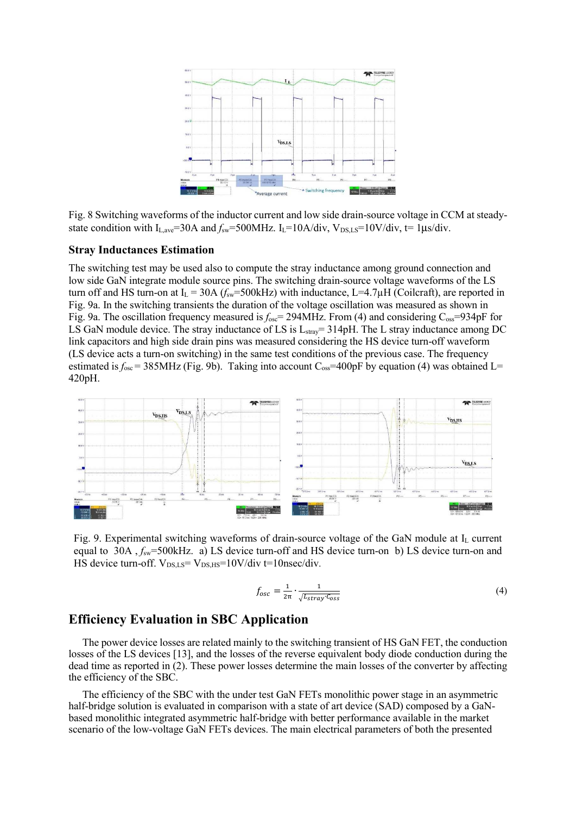

Fig. 8 Switching waveforms of the inductor current and low side drain-source voltage in CCM at steadystate condition with  $I_{\text{Lave}} = 30A$  and  $f_{\text{sw}} = 500M$  Hz.  $I_{\text{L}} = 10A/\text{div}$ ,  $V_{\text{DS,LS}} = 10V/\text{div}$ ,  $t = 1\mu s/\text{div}$ .

#### **Stray Inductances Estimation**

The switching test may be used also to compute the stray inductance among ground connection and low side GaN integrate module source pins. The switching drain-source voltage waveforms of the LS turn off and HS turn-on at  $I_L = 30A$  ( $f_{sw} = 500kHz$ ) with inductance, L=4.7 $\mu$ H (Coilcraft), are reported in Fig. 9a. In the switching transients the duration of the voltage oscillation was measured as shown in Fig. 9a. The oscillation frequency measured is  $f_{\text{osc}}$  = 294MHz. From (4) and considering C<sub>oss</sub>=934pF for LS GaN module device. The stray inductance of LS is L<sub>stray</sub>= 314pH. The L stray inductance among DC link capacitors and high side drain pins was measured considering the HS device turn-off waveform (LS device acts a turn-on switching) in the same test conditions of the previous case. The frequency estimated is  $f_{\text{osc}} = 385 \text{MHz}$  (Fig. 9b). Taking into account  $C_{\text{osc}} = 400 \text{pF}$  by equation (4) was obtained L= 420pH.



Fig. 9. Experimental switching waveforms of drain-source voltage of the GaN module at I<sub>L</sub> current equal to 30A ,  $f_{sw}$ =500kHz. a) LS device turn-off and HS device turn-on b) LS device turn-on and HS device turn-off.  $V_{DS,LS} = V_{DS,HS} = 10V/div = 10nsec/div$ .

$$
f_{osc} = \frac{1}{2\pi} \cdot \frac{1}{\sqrt{L_{stray} c_{oss}}} \tag{4}
$$

#### **Efficiency Evaluation in SBC Application**

 The power device losses are related mainly to the switching transient of HS GaN FET, the conduction losses of the LS devices [13], and the losses of the reverse equivalent body diode conduction during the dead time as reported in (2). These power losses determine the main losses of the converter by affecting the efficiency of the SBC.

The efficiency of the SBC with the under test GaN FETs monolithic power stage in an asymmetric half-bridge solution is evaluated in comparison with a state of art device (SAD) composed by a GaNbased monolithic integrated asymmetric half-bridge with better performance available in the market scenario of the low-voltage GaN FETs devices. The main electrical parameters of both the presented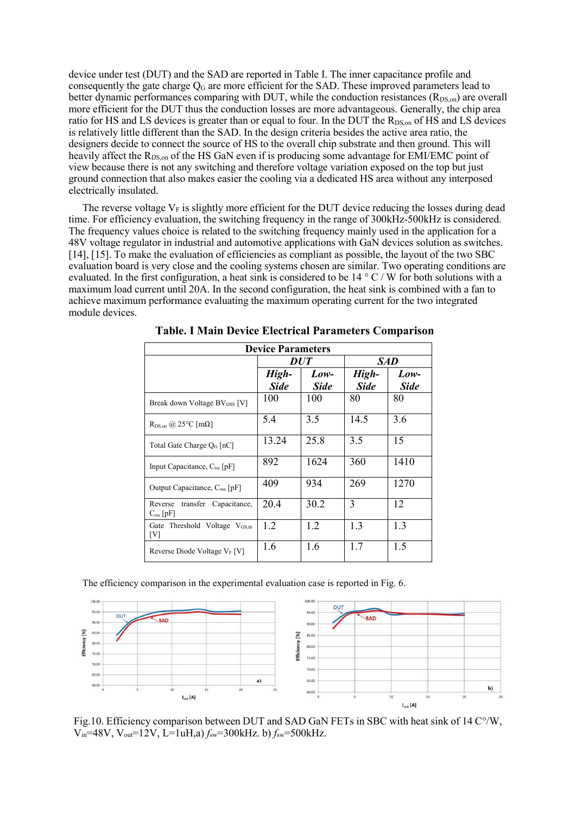device under test (DUT) and the SAD are reported in Table I. The inner capacitance profile and consequently the gate charge  $Q_G$  are more efficient for the SAD. These improved parameters lead to better dynamic performances comparing with DUT, while the conduction resistances  $(R_{DS,on})$  are overall more efficient for the DUT thus the conduction losses are more advantageous. Generally, the chip area ratio for HS and LS devices is greater than or equal to four. In the DUT the R<sub>DS,on</sub> of HS and LS devices is relatively little different than the SAD. In the design criteria besides the active area ratio, the designers decide to connect the source of HS to the overall chip substrate and then ground. This will heavily affect the R<sub>DS,on</sub> of the HS GaN even if is producing some advantage for EMI/EMC point of view because there is not any switching and therefore voltage variation exposed on the top but just ground connection that also makes easier the cooling via a dedicated HS area without any interposed electrically insulated.

The reverse voltage  $V_F$  is slightly more efficient for the DUT device reducing the losses during dead time. For efficiency evaluation, the switching frequency in the range of 300kHz-500kHz is considered. The frequency values choice is related to the switching frequency mainly used in the application for a 48V voltage regulator in industrial and automotive applications with GaN devices solution as switches. [14], [15]. To make the evaluation of efficiencies as compliant as possible, the layout of the two SBC evaluation board is very close and the cooling systems chosen are similar. Two operating conditions are evaluated. In the first configuration, a heat sink is considered to be 14 ° C / W for both solutions with a maximum load current until 20A. In the second configuration, the heat sink is combined with a fan to achieve maximum performance evaluating the maximum operating current for the two integrated module devices.

| <b>Device Parameters</b>                               |                      |                     |                      |                       |  |  |  |  |
|--------------------------------------------------------|----------------------|---------------------|----------------------|-----------------------|--|--|--|--|
|                                                        |                      | <b>DUT</b>          | SAD                  |                       |  |  |  |  |
|                                                        | High-<br><b>Side</b> | Low-<br><b>Side</b> | High-<br><b>Side</b> | $Low-$<br><b>Side</b> |  |  |  |  |
| Break down Voltage BV <sub>DSS</sub> [V]               | 100                  | 100                 | 80                   | 80                    |  |  |  |  |
| $R_{DS,on}$ @ 25°C [m $\Omega$ ]                       | 5.4                  | 3.5                 | 14.5                 | 3.6                   |  |  |  |  |
| Total Gate Charge $Q_G$ [nC]                           | 13.24                | 25.8                | 3.5                  | 15                    |  |  |  |  |
| Input Capacitance, C <sub>iss</sub> [pF]               | 892                  | 1624                | 360                  | 1410                  |  |  |  |  |
| Output Capacitance, C <sub>oss</sub> [pF]              | 409                  | 934                 | 269                  | 1270                  |  |  |  |  |
| Reverse transfer Capacitance,<br>$C_{\text{rss}}$ [pF] | 20.4                 | 30.2                | 3                    | 12                    |  |  |  |  |
| Gate Threshold Voltage V <sub>GS.th</sub><br>[V]       | 1.2                  | 1.2                 | 1.3                  | 1.3                   |  |  |  |  |
| Reverse Diode Voltage $V_F[V]$                         | 1.6                  | 1.6                 | 1.7                  | 1.5                   |  |  |  |  |

**Table. I Main Device Electrical Parameters Comparison** 

The efficiency comparison in the experimental evaluation case is reported in Fig. 6.



Fig.10. Efficiency comparison between DUT and SAD GaN FETs in SBC with heat sink of 14 C°/W, Vin=48V, Vout=12V, L=1uH,a) *f*sw=300kHz. b) *f*sw=500kHz.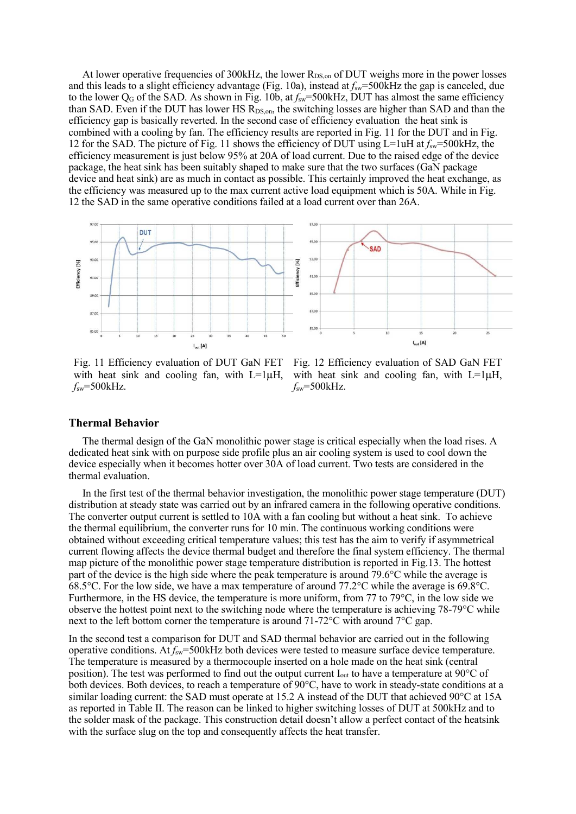At lower operative frequencies of  $300kHz$ , the lower  $R_{DS,on}$  of DUT weighs more in the power losses and this leads to a slight efficiency advantage (Fig. 10a), instead at  $f_{sw}=500$ kHz the gap is canceled, due to the lower Q<sub>G</sub> of the SAD. As shown in Fig. 10b, at  $f_{sw}=500$ kHz, DUT has almost the same efficiency than SAD. Even if the DUT has lower HS R<sub>DS,on</sub>, the switching losses are higher than SAD and than the efficiency gap is basically reverted. In the second case of efficiency evaluation the heat sink is combined with a cooling by fan. The efficiency results are reported in Fig. 11 for the DUT and in Fig. 12 for the SAD. The picture of Fig. 11 shows the efficiency of DUT using L=1uH at *f*sw=500kHz, the efficiency measurement is just below 95% at 20A of load current. Due to the raised edge of the device package, the heat sink has been suitably shaped to make sure that the two surfaces (GaN package device and heat sink) are as much in contact as possible. This certainly improved the heat exchange, as the efficiency was measured up to the max current active load equipment which is 50A. While in Fig. 12 the SAD in the same operative conditions failed at a load current over than 26A.



Fig. 11 Efficiency evaluation of DUT GaN FET with heat sink and cooling fan, with L=1 $\mu$ H,  $f_{sw}$ =500kHz.

Fig. 12 Efficiency evaluation of SAD GaN FET with heat sink and cooling fan, with L=1µH, *f*sw=500kHz.

#### **Thermal Behavior**

The thermal design of the GaN monolithic power stage is critical especially when the load rises. A dedicated heat sink with on purpose side profile plus an air cooling system is used to cool down the device especially when it becomes hotter over 30A of load current. Two tests are considered in the thermal evaluation.

In the first test of the thermal behavior investigation, the monolithic power stage temperature (DUT) distribution at steady state was carried out by an infrared camera in the following operative conditions. The converter output current is settled to 10A with a fan cooling but without a heat sink. To achieve the thermal equilibrium, the converter runs for 10 min. The continuous working conditions were obtained without exceeding critical temperature values; this test has the aim to verify if asymmetrical current flowing affects the device thermal budget and therefore the final system efficiency. The thermal map picture of the monolithic power stage temperature distribution is reported in Fig.13. The hottest part of the device is the high side where the peak temperature is around 79.6°C while the average is 68.5°C. For the low side, we have a max temperature of around 77.2°C while the average is 69.8°C. Furthermore, in the HS device, the temperature is more uniform, from 77 to 79°C, in the low side we observe the hottest point next to the switching node where the temperature is achieving 78-79°C while next to the left bottom corner the temperature is around 71-72°C with around 7°C gap.

In the second test a comparison for DUT and SAD thermal behavior are carried out in the following operative conditions. At *f*sw=500kHz both devices were tested to measure surface device temperature. The temperature is measured by a thermocouple inserted on a hole made on the heat sink (central position). The test was performed to find out the output current  $I_{out}$  to have a temperature at 90 $^{\circ}$ C of both devices. Both devices, to reach a temperature of 90°C, have to work in steady-state conditions at a similar loading current: the SAD must operate at 15.2 A instead of the DUT that achieved 90°C at 15A as reported in Table II. The reason can be linked to higher switching losses of DUT at 500kHz and to the solder mask of the package. This construction detail doesn't allow a perfect contact of the heatsink with the surface slug on the top and consequently affects the heat transfer.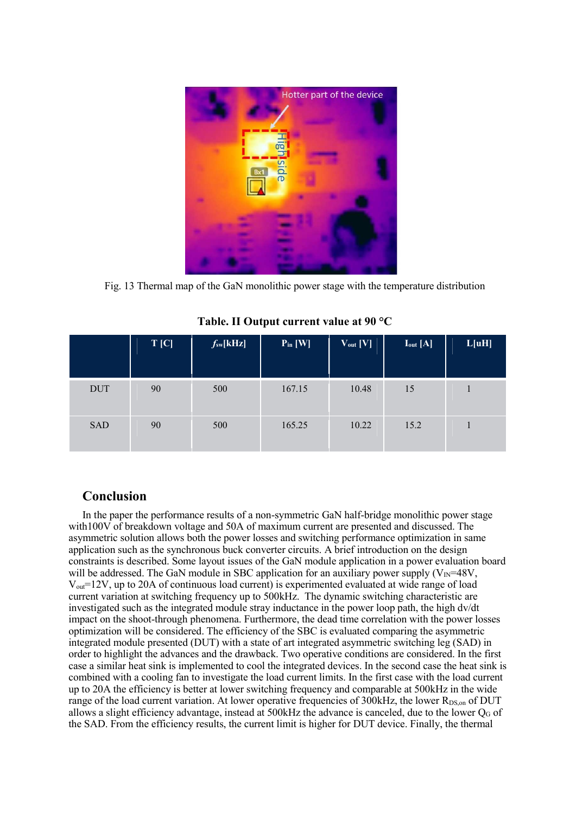

Fig. 13 Thermal map of the GaN monolithic power stage with the temperature distribution

|            | $T$ [C] | $f_{sw}[kHz]$ | $P_{in}$ [W] | $V_{out}$ [V] | $I_{out}$ [A] | L[uH] |
|------------|---------|---------------|--------------|---------------|---------------|-------|
| <b>DUT</b> | 90      | 500           | 167.15       | 10.48         | 15            |       |
| <b>SAD</b> | 90      | 500           | 165.25       | 10.22         | 15.2          |       |

**Table. II Output current value at 90 °C** 

### **Conclusion**

In the paper the performance results of a non-symmetric GaN half-bridge monolithic power stage with100V of breakdown voltage and 50A of maximum current are presented and discussed. The asymmetric solution allows both the power losses and switching performance optimization in same application such as the synchronous buck converter circuits. A brief introduction on the design constraints is described. Some layout issues of the GaN module application in a power evaluation board will be addressed. The GaN module in SBC application for an auxiliary power supply ( $V_{\text{IN}}=48V$ , Vout=12V, up to 20A of continuous load current) is experimented evaluated at wide range of load current variation at switching frequency up to 500kHz. The dynamic switching characteristic are investigated such as the integrated module stray inductance in the power loop path, the high dv/dt impact on the shoot-through phenomena. Furthermore, the dead time correlation with the power losses optimization will be considered. The efficiency of the SBC is evaluated comparing the asymmetric integrated module presented (DUT) with a state of art integrated asymmetric switching leg (SAD) in order to highlight the advances and the drawback. Two operative conditions are considered. In the first case a similar heat sink is implemented to cool the integrated devices. In the second case the heat sink is combined with a cooling fan to investigate the load current limits. In the first case with the load current up to 20A the efficiency is better at lower switching frequency and comparable at 500kHz in the wide range of the load current variation. At lower operative frequencies of  $300kHz$ , the lower  $R_{DS,on}$  of DUT allows a slight efficiency advantage, instead at  $500kHz$  the advance is canceled, due to the lower  $Q<sub>G</sub>$  of the SAD. From the efficiency results, the current limit is higher for DUT device. Finally, the thermal